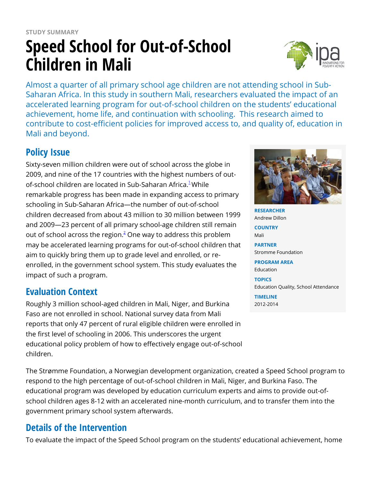# **STUDY SUMMARY Speed School for Out-of-School Children in Mali**



Almost a quarter of all primary school age children are not attending school in Sub-Saharan Africa. In this study in southern Mali, researchers evaluated the impact of an accelerated learning program for out-of-school children on the students' educational achievement, home life, and continuation with schooling. This research aimed to contribute to cost-efficient policies for improved access to, and quality of, education in Mali and beyond.

## **Policy Issue**

Sixty-seven million children were out of school across the globe in 2009, and nine of the 17 countries with the highest numbers of out-of-school children are located in Sub-Saharan Africa.<sup>[1](https://www.poverty-action.org/printpdf/7376#_ftn1)</sup>While remarkable progress has been made in expanding access to primary schooling in Sub-Saharan Africa—the number of out-of-school children decreased from about 43 million to 30 million between 1999 and 2009—23 percent of all primary school-age children still remain out of school across the region. $^2$  $^2$  One way to address this problem may be accelerated learning programs for out-of-school children that aim to quickly bring them up to grade level and enrolled, or reenrolled, in the government school system. This study evaluates the impact of such a program.

### **Evaluation Context**

Roughly 3 million school-aged children in Mali, Niger, and Burkina Faso are not enrolled in school. National survey data from Mali reports that only 47 percent of rural eligible children were enrolled in the first level of schooling in 2006. This underscores the urgent educational policy problem of how to effectively engage out-of-school children.

The Strømme Foundation, a Norwegian development organization, created a Speed School program to respond to the high percentage of out-of-school children in Mali, Niger, and Burkina Faso. The educational program was developed by education curriculum experts and aims to provide out-ofschool children ages 8-12 with an accelerated nine-month curriculum, and to transfer them into the government primary school system afterwards.

## **Details of the Intervention**

To evaluate the impact of the Speed School program on the students' educational achievement, home



**RESEARCHER** Andrew Dillon

**COUNTRY** Mali

**PARTNER** Stromme Foundation

**PROGRAM AREA** Education

**TOPICS** Education Quality, School Attendance

**TIMELINE** 2012-2014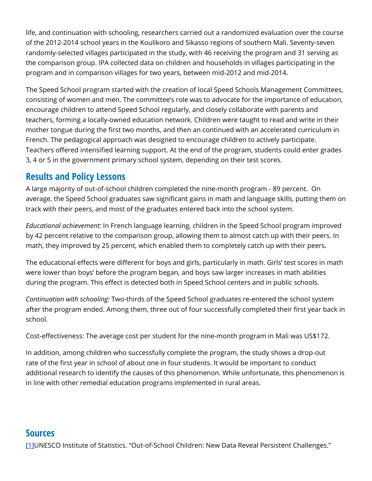life, and continuation with schooling, researchers carried out a randomized evaluation over the course of the 2012-2014 school years in the Koulikoro and Sikasso regions of southern Mali. Seventy-seven randomly-selected villages participated in the study, with 46 receiving the program and 31 serving as the comparison group. IPA collected data on children and households in villages participating in the program and in comparison villages for two years, between mid-2012 and mid-2014.

The Speed School program started with the creation of local Speed Schools Management Committees, consisting of women and men. The committee's role was to advocate for the importance of education, encourage children to attend Speed School regularly, and closely collaborate with parents and teachers, forming a locally-owned education network. Children were taught to read and write in their mother tongue during the first two months, and then an continued with an accelerated curriculum in French. The pedagogical approach was designed to encourage children to actively participate. Teachers offered intensified learning support. At the end of the program, students could enter grades 3, 4 or 5 in the government primary school system, depending on their test scores.

#### **Results and Policy Lessons**

A large majority of out-of-school children completed the nine-month program - 89 percent. On average, the Speed School graduates saw significant gains in math and language skills, putting them on track with their peers, and most of the graduates entered back into the school system.

*Educational achievement:* In French language learning, children in the Speed School program improved by 42 percent relative to the comparison group, allowing them to almost catch up with their peers. In math, they improved by 25 percent, which enabled them to completely catch up with their peers.

The educational effects were different for boys and girls, particularly in math. Girls' test scores in math were lower than boys' before the program began, and boys saw larger increases in math abilities during the program. This effect is detected both in Speed School centers and in public schools.

*Continuation with schooling:* Two-thirds of the Speed School graduates re-entered the school system after the program ended. Among them, three out of four successfully completed their first year back in school.

Cost-effectiveness: The average cost per student for the nine-month program in Mali was US\$172.

In addition, among children who successfully complete the program, the study shows a drop-out rate of the first year in school of about one in four students. It would be important to conduct additional research to identify the causes of this phenomenon. While unfortunate, this phenomenon is in line with other remedial education programs implemented in rural areas.

#### **Sources**

[\[1\]](https://www.poverty-action.org/printpdf/7376#_ftnref1)UNESCO Institute of Statistics. "Out-of-School Children: New Data Reveal Persistent Challenges."